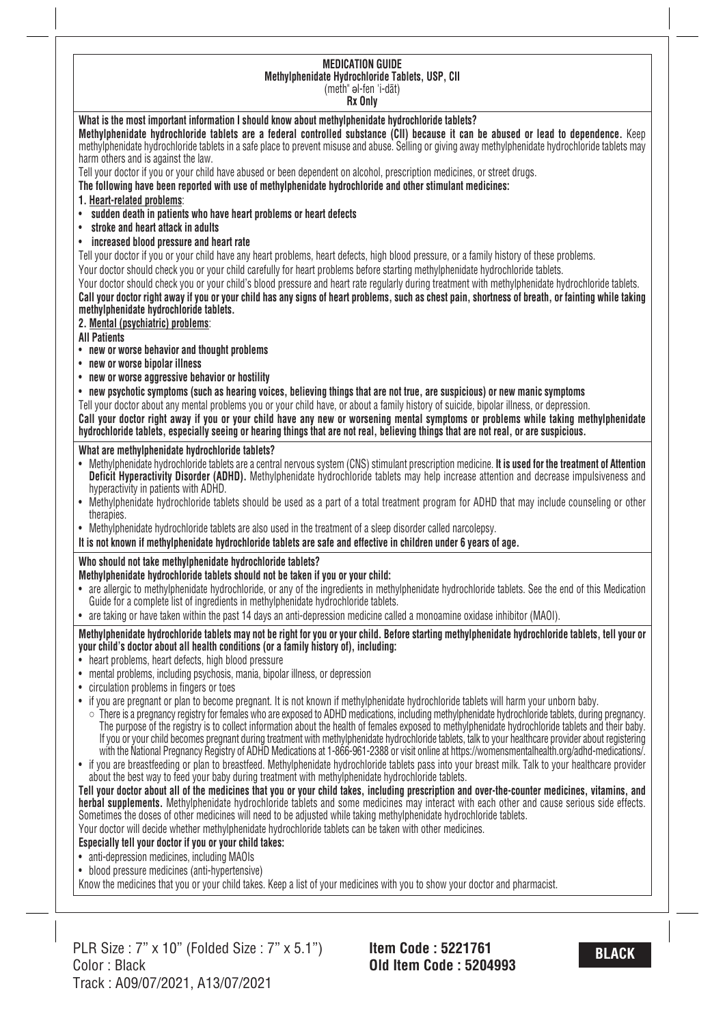#### **MEDICATION GUIDE Methylphenidate Hydrochloride Tablets, USP, CII** (meth" ǝl-fen 'i-dāt)

**Rx Only**

## **What is the most important information I should know about methylphenidate hydrochloride tablets?**

Methylphenidate hydrochloride tablets are a federal controlled substance (CII) because it can be abused or lead to dependence. Keep methylphenidate hydrochloride tablets in a safe place to prevent misuse and abuse. Selling or giving away methylphenidate hydrochloride tablets may harm others and is against the law.

Tell your doctor if you or your child have abused or been dependent on alcohol, prescription medicines, or street drugs.

**The following have been reported with use of methylphenidate hydrochloride and other stimulant medicines:**

- **1. Heart-related problems**:
- **sudden death in patients who have heart problems or heart defects**
- **stroke and heart attack in adults**
- **increased blood pressure and heart rate**

Tell your doctor if you or your child have any heart problems, heart defects, high blood pressure, or a family history of these problems. Your doctor should check you or your child carefully for heart problems before starting methylphenidate hydrochloride tablets.

Your doctor should check you or your child's blood pressure and heart rate regularly during treatment with methylphenidate hydrochloride tablets.

Call your doctor right away if you or your child has any signs of heart problems, such as chest pain, shortness of breath, or fainting while taking **methylphenidate hydrochloride tablets.**

### **2. Mental (psychiatric) problems**:

**All Patients**

- **new or worse behavior and thought problems**
- **new or worse bipolar illness**
- **new or worse aggressive behavior or hostility**
- new psychotic symptoms (such as hearing voices, believing things that are not true, are suspicious) or new manic symptoms

Tell your doctor about any mental problems you or your child have, or about a family history of suicide, bipolar illness, or depression.

Call your doctor right away if you or your child have any new or worsening mental symptoms or problems while taking methylphenidate hydrochloride tablets, especially seeing or hearing things that are not real, believing things that are not real, or are suspicious.

### **What are methylphenidate hydrochloride tablets?**

- Methylphenidate hydrochloride tablets are a central nervous system (CNS) stimulant prescription medicine. **It is used for the treatment of Attention Deficit Hyperactivity Disorder (ADHD).** Methylphenidate hydrochloride tablets may help increase attention and decrease impulsiveness and hyperactivity in patients with ADHD.
- Methylphenidate hydrochloride tablets should be used as a part of a total treatment program for ADHD that may include counseling or other therapies.
- Methylphenidate hydrochloride tablets are also used in the treatment of a sleep disorder called narcolepsy.
- It is not known if methylphenidate hydrochloride tablets are safe and effective in children under 6 years of age.

### **Who should not take methylphenidate hydrochloride tablets?**

### **Methylphenidate hydrochloride tablets should not be taken if you or your child:**

- are allergic to methylphenidate hydrochloride, or any of the ingredients in methylphenidate hydrochloride tablets. See the end of this Medication Guide for a complete list of ingredients in methylphenidate hydrochloride tablets.
- are taking or have taken within the past 14 days an anti-depression medicine called a monoamine oxidase inhibitor (MAOI).

#### Methylphenidate hydrochloride tablets may not be right for you or your child. Before starting methylphenidate hydrochloride tablets, tell your or **your child's doctor about all health conditions (or a family history of), including:**

- heart problems, heart defects, high blood pressure
- mental problems, including psychosis, mania, bipolar illness, or depression
- circulation problems in fingers or toes
- if you are pregnant or plan to become pregnant. It is not known if methylphenidate hydrochloride tablets will harm your unborn baby.
- There is a pregnancy registry for females who are exposed to ADHD medications, including methylphenidate hydrochloride tablets, during pregnancy. The purpose of the registry is to collect information about the health of females exposed to methylphenidate hydrochloride tablets and their baby. If you or your child becomes pregnant during treatment with methylphenidate hydrochloride tablets, talk to your healthcare provider about registering with the National Pregnancy Registry of ADHD Medications at 1-866-961-2388 or visit online at https://womensmentalhealth.org/adhd-medications/.
- if you are breastfeeding or plan to breastfeed. Methylphenidate hydrochloride tablets pass into your breast milk. Talk to your healthcare provider about the best way to feed your baby during treatment with methylphenidate hydrochloride tablets.

Tell your doctor about all of the medicines that you or your child takes, including prescription and over-the-counter medicines, vitamins, and **herbal supplements.** Methylphenidate hydrochloride tablets and some medicines may interact with each other and cause serious side effects. Sometimes the doses of other medicines will need to be adjusted while taking methylphenidate hydrochloride tablets.

Your doctor will decide whether methylphenidate hydrochloride tablets can be taken with other medicines.

### **Especially tell your doctor if you or your child takes:**

- anti-depression medicines, including MAOIs
- blood pressure medicines (anti-hypertensive)

Know the medicines that you or your child takes. Keep a list of your medicines with you to show your doctor and pharmacist.